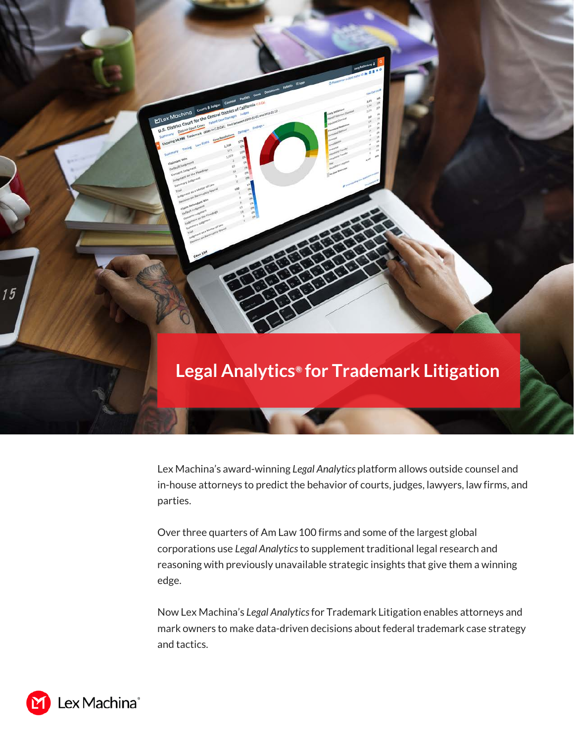

Lex Machina's award-winning *Legal Analytics* platform allows outside counsel and in-house attorneys to predict the behavior of courts, judges, lawyers, law firms, and parties.

Over three quarters of Am Law 100 firms and some of the largest global corporations use *Legal Analytics* to supplement traditional legal research and reasoning with previously unavailable strategic insights that give them a winning edge.

Now Lex Machina's *Legal Analytics* for Trademark Litigation enables attorneys and mark owners to make data-driven decisions about federal trademark case strategy and tactics.